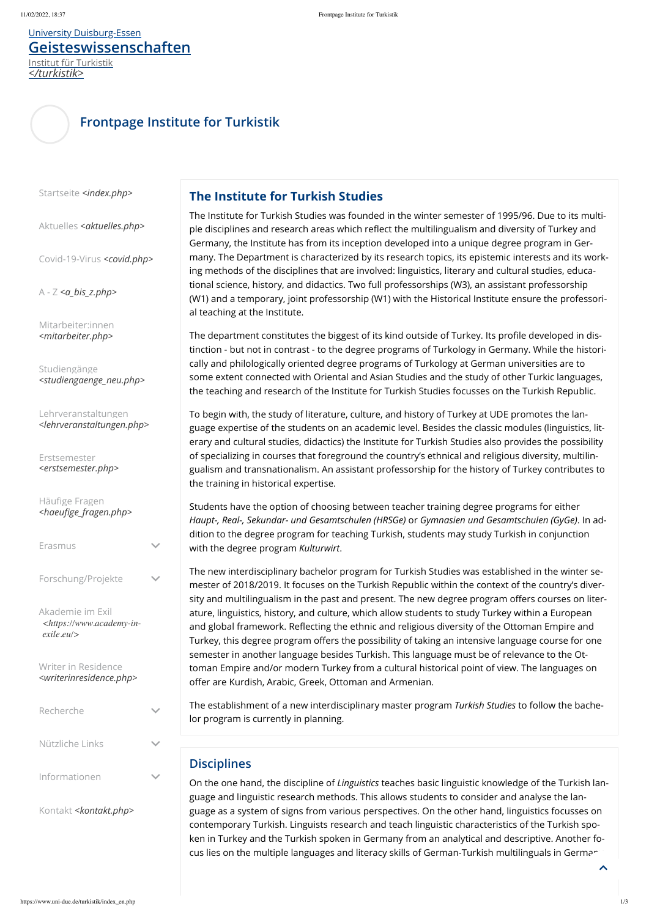## **Frontpage Institute for Turkistik**

Startseite *[<index.php>](https://www.uni-due.de/turkistik/index.php)*

Aktuelles [<aktuelles.php>](https://www.uni-due.de/turkistik/aktuelles.php)

[Covid-19-Virus](https://www.uni-due.de/turkistik/covid.php) *<covid.php>*

A - Z *[<a\\_bis\\_z.php>](https://www.uni-due.de/turkistik/a_bis_z.php)*

[Mitarbeiter:innen](https://www.uni-due.de/turkistik/mitarbeiter.php) *<mitarbeiter.php>*

Studiengänge *[<studiengaenge\\_neu.php>](https://www.uni-due.de/turkistik/studiengaenge_neu.php)*

Lehrveranstaltungen *[<lehrveranstaltungen.php>](https://www.uni-due.de/turkistik/lehrveranstaltungen.php)*

Erstsemester *[<erstsemester.php>](https://www.uni-due.de/turkistik/erstsemester.php)*

Häufige Fragen *[<haeufige\\_fragen.php>](https://www.uni-due.de/turkistik/haeufige_fragen.php)*

Erasmus

Forschung/Projekte

Akademie im Exil *[<https://www.academy-in](https://www.academy-in-exile.eu/)exile.eu/>*

Writer in Residence *[<writerinresidence.php>](https://www.uni-due.de/turkistik/writerinresidence.php)*

Nützliche Links

Informationen

Kontakt *[<kontakt.php>](https://www.uni-due.de/turkistik/kontakt.php)*

### **The Institute for Turkish Studies**

The Institute for Turkish Studies was founded in the winter semester of 1995/96. Due to its multiple disciplines and research areas which reflect the multilingualism and diversity of Turkey and Germany, the Institute has from its inception developed into a unique degree program in Germany. The Department is characterized by its research topics, its epistemic interests and its working methods of the disciplines that are involved: linguistics, literary and cultural studies, educational science, history, and didactics. Two full professorships (W3), an assistant professorship (W1) and a temporary, joint professorship (W1) with the Historical Institute ensure the professorial teaching at the Institute.

The department constitutes the biggest of its kind outside of Turkey. Its profile developed in distinction - but not in contrast - to the degree programs of Turkology in Germany. While the historically and philologically oriented degree programs of Turkology at German universities are to some extent connected with Oriental and Asian Studies and the study of other Turkic languages, the teaching and research of the Institute for Turkish Studies focusses on the Turkish Republic.

On the one hand, the discipline of *Linguistics* teaches basic linguistic knowledge of the Turkish language and linguistic research methods. This allows students to consider and analyse the language as a system of signs from various perspectives. On the other hand, linguistics focusses on contemporary Turkish. Linguists research and teach linguistic characteristics of the Turkish spoken in Turkey and the Turkish spoken in Germany from an analytical and descriptive. Another focus lies on the multiple languages and literacy skills of German-Turkish multilinguals in German

 $\blacktriangle$ 

To begin with, the study of literature, culture, and history of Turkey at UDE promotes the language expertise of the students on an academic level. Besides the classic modules (linguistics, literary and cultural studies, didactics) the Institute for Turkish Studies also provides the possibility of specializing in courses that foreground the country's ethnical and religious diversity, multilingualism and transnationalism. An assistant professorship for the history of Turkey contributes to the training in historical expertise.

Students have the option of choosing between teacher training degree programs for either *Haupt-, Real-, Sekundar- und Gesamtschulen (HRSGe)* or *Gymnasien und Gesamtschulen (GyGe)*. In addition to the degree program for teaching Turkish, students may study Turkish in conjunction with the degree program *Kulturwirt*.

The new interdisciplinary bachelor program for Turkish Studies was established in the winter semester of 2018/2019. It focuses on the Turkish Republic within the context of the country's diversity and multilingualism in the past and present. The new degree program offers courses on literature, linguistics, history, and culture, which allow students to study Turkey within a European and global framework. Reflecting the ethnic and religious diversity of the Ottoman Empire and Turkey, this degree program offers the possibility of taking an intensive language course for one semester in another language besides Turkish. This language must be of relevance to the Ottoman Empire and/or modern Turkey from a cultural historical point of view. The languages on offer are Kurdish, Arabic, Greek, Ottoman and Armenian.

The establishment of a new interdisciplinary master program *Turkish Studies* to follow the bachelor program is currently in planning.

# **Disciplines**

### <span id="page-0-0"></span>[University Duisburg-Essen](https://www.uni-due.de/en/index.php) **[Geisteswissenschaften](https://www.uni-due.de/turkistik)**

Institut für Turkistik *</turkistik>*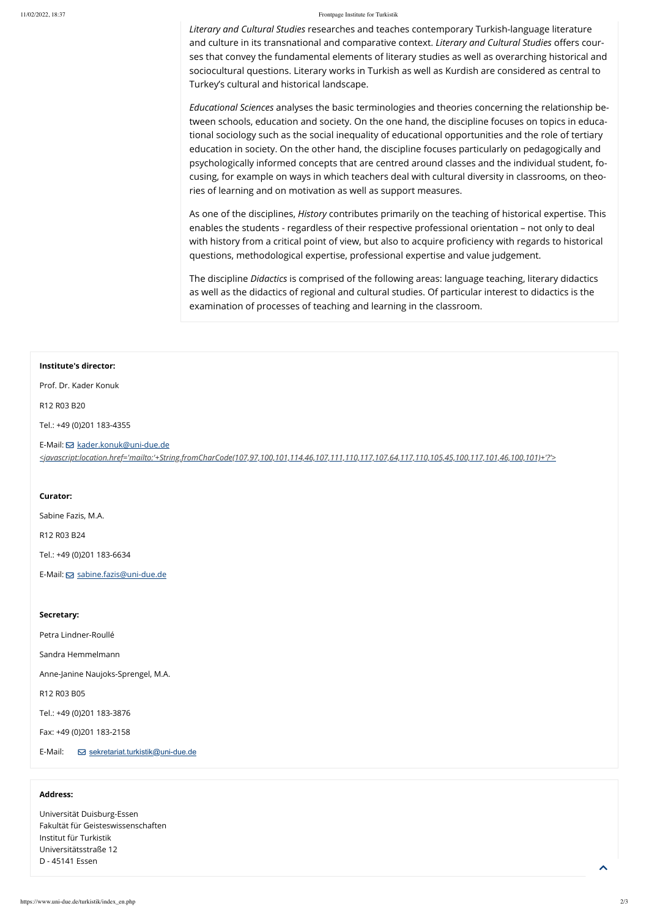#### 11/02/2022, 18:37 Frontpage Institute for Turkistik

*Literary and Cultural Studies* researches and teaches contemporary Turkish-language literature and culture in its transnational and comparative context. *Literary and Cultural Studies* offers courses that convey the fundamental elements of literary studies as well as overarching historical and sociocultural questions. Literary works in Turkish as well as Kurdish are considered as central to Turkey's cultural and historical landscape.

*Educational Sciences* analyses the basic terminologies and theories concerning the relationship between schools, education and society. On the one hand, the discipline focuses on topics in educational sociology such as the social inequality of educational opportunities and the role of tertiary education in society. On the other hand, the discipline focuses particularly on pedagogically and psychologically informed concepts that are centred around classes and the individual student, focusing, for example on ways in which teachers deal with cultural diversity in classrooms, on theories of learning and on motivation as well as support measures.

As one of the disciplines, *History* contributes primarily on the teaching of historical expertise. This enables the students - regardless of their respective professional orientation – not only to deal with history from a critical point of view, but also to acquire proficiency with regards to historical questions, methodological expertise, professional expertise and value judgement.

The discipline *Didactics* is comprised of the following areas: language teaching, literary didactics as well as the didactics of regional and cultural studies. Of particular interest to didactics is the examination of processes of teaching and learning in the classroom.

#### **Institute's director:**

Prof. Dr. Kader Konuk

R12 R03 B20

Tel.: +49 (0)201 183-4355

E-Mail: **S** kader.konuk@uni-due.de

*[<javascript:location.href='mailto:'+String.fromCharCode\(107,97,100,101,114,46,107,111,110,117,107,64,117,110,105,45,100,117,101,46,100,101\)+'?'>](javascript:location.href=)*

#### **Curator:**

Sabine Fazis, M.A.

R12 R03 B24

Tel.: +49 (0)201 183-6634

E-Mail: **S**[sabine.fazis@uni-due.de](mailto:sabine.fazis@uni-due.de)

#### **Secretary:**

Petra Lindner-Roullé

Sandra Hemmelmann

Anne-Janine Naujoks-Sprengel, M.A.

R12 R03 B05

Tel.: +49 (0)201 183-3876

Fax: +49 (0)201 183-2158

E-Mail: [sekretariat.turkistik@uni-due.de](mailto:sekretariat.turkistik@uni-due.de)

#### **Address:**

Universität Duisburg-Essen Fakultät für Geisteswissenschaften Institut für Turkistik Universitätsstraße 12 D - 45141 Essen

 $\triangle$